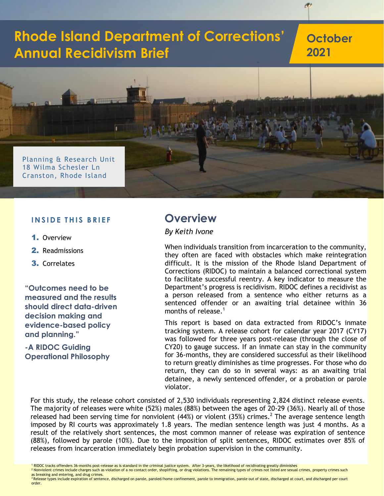# **Rhode Island Department of Corrections' Annual Recidivism Brief**

**October 2021**



#### **INSIDE THIS BRIEF**

- 1. Overview
- 2. Readmissions
- 3. Correlates

**"Outcomes need to be measured and the results should direct data-driven decision making and evidence-based policy and planning."**

**-A RIDOC Guiding Operational Philosophy**

### **Overview**

#### *By Keith Ivone*

When individuals transition from incarceration to the community, they often are faced with obstacles which make reintegration difficult. It is the mission of the Rhode Island Department of Corrections (RIDOC) to maintain a balanced correctional system to facilitate successful reentry. A key indicator to measure the Department's progress is recidivism. RIDOC defines a recidivist as a person released from a sentence who either returns as a sentenced offender or an awaiting trial detainee within 36 months of release. 1

This report is based on data extracted from RIDOC's inmate tracking system. A release cohort for calendar year 2017 (CY17) was followed for three years post-release (through the close of CY20) to gauge success. If an inmate can stay in the community for 36-months, they are considered successful as their likelihood to return greatly diminishes as time progresses. For those who do return, they can do so in several ways: as an awaiting trial detainee, a newly sentenced offender, or a probation or parole violator.

For this study, the release cohort consisted of 2,530 individuals representing 2,824 distinct release events. The majority of releases were white (52%) males (88%) between the ages of 20-29 (36%). Nearly all of those released had been serving time for nonviolent (44%) or violent (35%) crimes.<sup>2</sup> The average sentence length imposed by RI courts was approximately 1.8 years. The median sentence length was just 4 months. As a result of the relatively short sentences, the most common manner of release was expiration of sentence (88%), followed by parole (10%). Due to the imposition of split sentences, RIDOC estimates over 85% of releases from incarceration immediately begin probation supervision in the community.

<sup>2</sup> Nonviolent crimes include charges such as violation of a no contact order, shoplifting, or drug violations. The remaining types of crimes not listed are sexual crimes, property crimes such as breaking and entering, and drug crimes.

<sup>3</sup> Release types include expiration of sentence, discharged on parole, paroled/home confinement, parole to immigration, parole out of state, discharged at court, and discharged per court order.

<sup>&</sup>lt;sup>1</sup> RIDOC tracks offenders 36-months post-release as is standard in the criminal justice system. After 3-years, the likelihood of recidivating greatly diminishes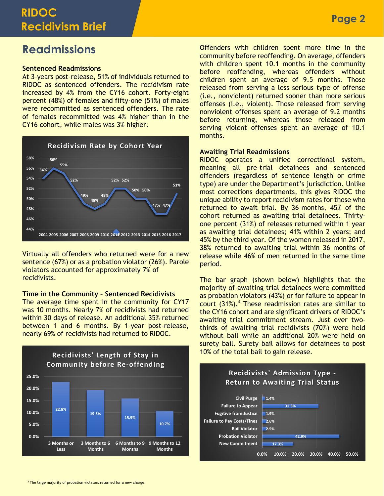# **RIDOC Recidivism Brief**

# **Readmissions**

#### **Sentenced Readmissions**

At 3-years post-release, 51% of individuals returned to RIDOC as sentenced offenders. The recidivism rate increased by 4% from the CY16 cohort. Forty-eight percent (48%) of females and fifty-one (51%) of males were recommitted as sentenced offenders. The rate of females recommitted was 4% higher than in the CY16 cohort, while males was 3% higher.



Virtually all offenders who returned were for a new sentence (67%) or as a probation violator (26%). Parole violators accounted for approximately 7% of recidivists.

#### **Time in the Community – Sentenced Recidivists**

The average time spent in the community for CY17 was 10 months. Nearly 7% of recidivists had returned within 30 days of release. An additional 35% returned between 1 and 6 months. By 1-year post-release, nearly 69% of recidivists had returned to RIDOC.



Offenders with children spent more time in the community before reoffending. On average, offenders with children spent 10.1 months in the community before reoffending, whereas offenders without children spent an average of 9.5 months. Those released from serving a less serious type of offense (i.e., nonviolent) returned sooner than more serious offenses (i.e., violent). Those released from serving nonviolent offenses spent an average of 9.2 months before returning, whereas those released from serving violent offenses spent an average of 10.1 months.

#### **Awaiting Trial Readmissions**

RIDOC operates a unified correctional system, meaning all pre-trial detainees and sentenced offenders (regardless of sentence length or crime type) are under the Department's jurisdiction. Unlike most corrections departments, this gives RIDOC the unique ability to report recidivism rates for those who returned to await trial. By 36-months, 45% of the cohort returned as awaiting trial detainees. Thirtyone percent (31%) of releases returned within 1 year as awaiting trial detainees; 41% within 2 years; and 45% by the third year. Of the women released in 2017, 38% returned to awaiting trial within 36 months of release while 46% of men returned in the same time period.

The bar graph (shown below) highlights that the majority of awaiting trial detainees were committed as probation violators (43%) or for failure to appear in court  $(31\%)$ .<sup>4</sup> These readmission rates are similar to the CY16 cohort and are significant drivers of RIDOC's awaiting trial commitment stream. Just over twothirds of awaiting trial recidivists (70%) were held without bail while an additional 20% were held on surety bail. Surety bail allows for detainees to post 10% of the total bail to gain release.